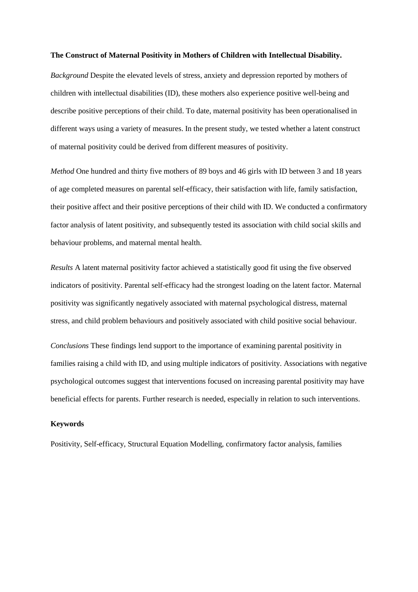#### **The Construct of Maternal Positivity in Mothers of Children with Intellectual Disability.**

*Background* Despite the elevated levels of stress, anxiety and depression reported by mothers of children with intellectual disabilities (ID), these mothers also experience positive well-being and describe positive perceptions of their child. To date, maternal positivity has been operationalised in different ways using a variety of measures. In the present study, we tested whether a latent construct of maternal positivity could be derived from different measures of positivity.

*Method* One hundred and thirty five mothers of 89 boys and 46 girls with ID between 3 and 18 years of age completed measures on parental self-efficacy, their satisfaction with life, family satisfaction, their positive affect and their positive perceptions of their child with ID. We conducted a confirmatory factor analysis of latent positivity, and subsequently tested its association with child social skills and behaviour problems, and maternal mental health.

*Results* A latent maternal positivity factor achieved a statistically good fit using the five observed indicators of positivity. Parental self-efficacy had the strongest loading on the latent factor. Maternal positivity was significantly negatively associated with maternal psychological distress, maternal stress, and child problem behaviours and positively associated with child positive social behaviour.

*Conclusions* These findings lend support to the importance of examining parental positivity in families raising a child with ID, and using multiple indicators of positivity. Associations with negative psychological outcomes suggest that interventions focused on increasing parental positivity may have beneficial effects for parents. Further research is needed, especially in relation to such interventions.

## **Keywords**

Positivity, Self-efficacy, Structural Equation Modelling, confirmatory factor analysis, families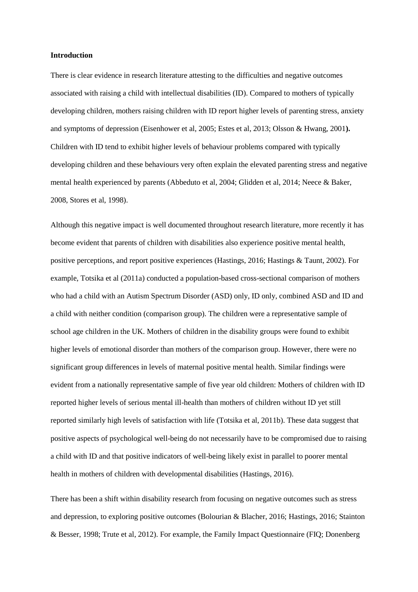#### **Introduction**

There is clear evidence in research literature attesting to the difficulties and negative outcomes associated with raising a child with intellectual disabilities (ID). Compared to mothers of typically developing children, mothers raising children with ID report higher levels of parenting stress, anxiety and symptoms of depression (Eisenhower et al, 2005; Estes et al, 2013; Olsson & Hwang, 2001**).**  Children with ID tend to exhibit higher levels of behaviour problems compared with typically developing children and these behaviours very often explain the elevated parenting stress and negative mental health experienced by parents (Abbeduto et al, 2004; Glidden et al, 2014; Neece & Baker, 2008, Stores et al, 1998).

Although this negative impact is well documented throughout research literature, more recently it has become evident that parents of children with disabilities also experience positive mental health, positive perceptions, and report positive experiences (Hastings, 2016; Hastings & Taunt, 2002). For example, Totsika et al (2011a) conducted a population-based cross-sectional comparison of mothers who had a child with an Autism Spectrum Disorder (ASD) only, ID only, combined ASD and ID and a child with neither condition (comparison group). The children were a representative sample of school age children in the UK. Mothers of children in the disability groups were found to exhibit higher levels of emotional disorder than mothers of the comparison group. However, there were no significant group differences in levels of maternal positive mental health. Similar findings were evident from a nationally representative sample of five year old children: Mothers of children with ID reported higher levels of serious mental ill-health than mothers of children without ID yet still reported similarly high levels of satisfaction with life (Totsika et al, 2011b). These data suggest that positive aspects of psychological well-being do not necessarily have to be compromised due to raising a child with ID and that positive indicators of well-being likely exist in parallel to poorer mental health in mothers of children with developmental disabilities (Hastings, 2016).

There has been a shift within disability research from focusing on negative outcomes such as stress and depression, to exploring positive outcomes (Bolourian & Blacher, 2016; Hastings, 2016; Stainton & Besser, 1998; Trute et al, 2012). For example, the Family Impact Questionnaire (FIQ; Donenberg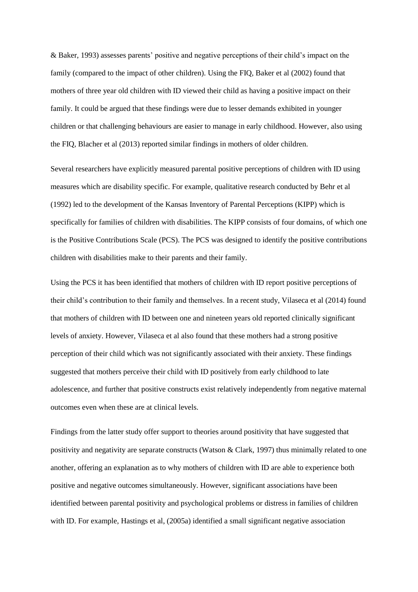& Baker, 1993) assesses parents' positive and negative perceptions of their child's impact on the family (compared to the impact of other children). Using the FIQ, Baker et al (2002) found that mothers of three year old children with ID viewed their child as having a positive impact on their family. It could be argued that these findings were due to lesser demands exhibited in younger children or that challenging behaviours are easier to manage in early childhood. However, also using the FIQ, Blacher et al (2013) reported similar findings in mothers of older children.

Several researchers have explicitly measured parental positive perceptions of children with ID using measures which are disability specific. For example, qualitative research conducted by Behr et al (1992) led to the development of the Kansas Inventory of Parental Perceptions (KIPP) which is specifically for families of children with disabilities. The KIPP consists of four domains, of which one is the Positive Contributions Scale (PCS). The PCS was designed to identify the positive contributions children with disabilities make to their parents and their family.

Using the PCS it has been identified that mothers of children with ID report positive perceptions of their child's contribution to their family and themselves. In a recent study, Vilaseca et al (2014) found that mothers of children with ID between one and nineteen years old reported clinically significant levels of anxiety. However, Vilaseca et al also found that these mothers had a strong positive perception of their child which was not significantly associated with their anxiety. These findings suggested that mothers perceive their child with ID positively from early childhood to late adolescence, and further that positive constructs exist relatively independently from negative maternal outcomes even when these are at clinical levels.

Findings from the latter study offer support to theories around positivity that have suggested that positivity and negativity are separate constructs (Watson & Clark, 1997) thus minimally related to one another, offering an explanation as to why mothers of children with ID are able to experience both positive and negative outcomes simultaneously. However*,* significant associations have been identified between parental positivity and psychological problems or distress in families of children with ID. For example, Hastings et al, (2005a) identified a small significant negative association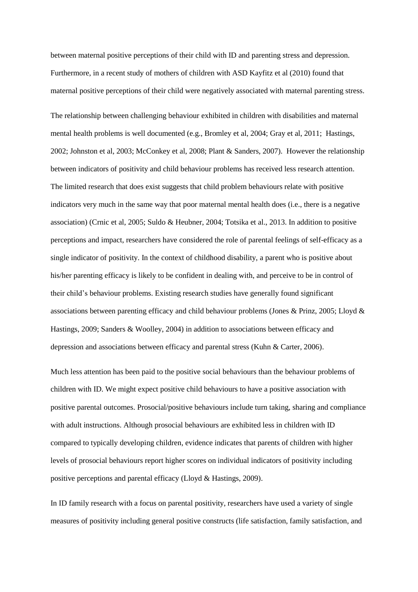between maternal positive perceptions of their child with ID and parenting stress and depression. Furthermore, in a recent study of mothers of children with ASD Kayfitz et al (2010) found that maternal positive perceptions of their child were negatively associated with maternal parenting stress.

The relationship between challenging behaviour exhibited in children with disabilities and maternal mental health problems is well documented (e.g., Bromley et al, 2004; Gray et al, 2011; Hastings, 2002; Johnston et al, 2003; McConkey et al, 2008; Plant & Sanders, 2007). However the relationship between indicators of positivity and child behaviour problems has received less research attention. The limited research that does exist suggests that child problem behaviours relate with positive indicators very much in the same way that poor maternal mental health does (i.e., there is a negative association) (Crnic et al, 2005; Suldo & Heubner, 2004; Totsika et al., 2013. In addition to positive perceptions and impact, researchers have considered the role of parental feelings of self-efficacy as a single indicator of positivity. In the context of childhood disability, a parent who is positive about his/her parenting efficacy is likely to be confident in dealing with, and perceive to be in control of their child's behaviour problems. Existing research studies have generally found significant associations between parenting efficacy and child behaviour problems (Jones & Prinz, 2005; Lloyd & Hastings, 2009; Sanders & Woolley, 2004) in addition to associations between efficacy and depression and associations between efficacy and parental stress (Kuhn & Carter, 2006).

Much less attention has been paid to the positive social behaviours than the behaviour problems of children with ID. We might expect positive child behaviours to have a positive association with positive parental outcomes. Prosocial/positive behaviours include turn taking, sharing and compliance with adult instructions. Although prosocial behaviours are exhibited less in children with ID compared to typically developing children, evidence indicates that parents of children with higher levels of prosocial behaviours report higher scores on individual indicators of positivity including positive perceptions and parental efficacy (Lloyd & Hastings, 2009).

In ID family research with a focus on parental positivity, researchers have used a variety of single measures of positivity including general positive constructs (life satisfaction, family satisfaction, and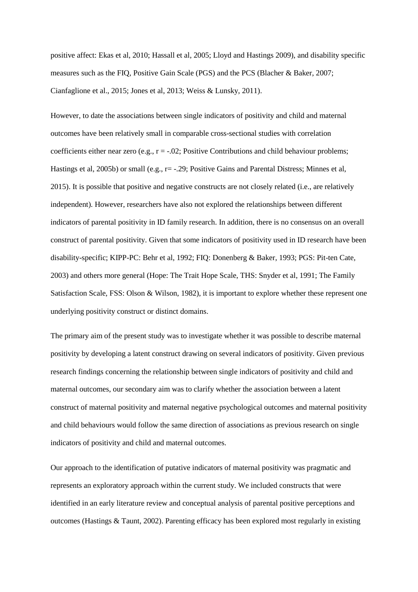positive affect: Ekas et al, 2010; Hassall et al, 2005; Lloyd and Hastings 2009), and disability specific measures such as the FIQ, Positive Gain Scale (PGS) and the PCS (Blacher & Baker, 2007; Cianfaglione et al., 2015; Jones et al, 2013; Weiss & Lunsky, 2011).

However, to date the associations between single indicators of positivity and child and maternal outcomes have been relatively small in comparable cross-sectional studies with correlation coefficients either near zero (e.g.,  $r = -0.02$ ; Positive Contributions and child behaviour problems; Hastings et al, 2005b) or small (e.g., r= -.29; Positive Gains and Parental Distress; Minnes et al, 2015). It is possible that positive and negative constructs are not closely related (i.e., are relatively independent). However, researchers have also not explored the relationships between different indicators of parental positivity in ID family research. In addition, there is no consensus on an overall construct of parental positivity. Given that some indicators of positivity used in ID research have been disability-specific; KIPP-PC: Behr et al, 1992; FIQ: Donenberg & Baker, 1993; PGS: Pit-ten Cate, 2003) and others more general (Hope: The Trait Hope Scale, THS: Snyder et al, 1991; The Family Satisfaction Scale, FSS: Olson & Wilson, 1982), it is important to explore whether these represent one underlying positivity construct or distinct domains.

The primary aim of the present study was to investigate whether it was possible to describe maternal positivity by developing a latent construct drawing on several indicators of positivity. Given previous research findings concerning the relationship between single indicators of positivity and child and maternal outcomes, our secondary aim was to clarify whether the association between a latent construct of maternal positivity and maternal negative psychological outcomes and maternal positivity and child behaviours would follow the same direction of associations as previous research on single indicators of positivity and child and maternal outcomes.

Our approach to the identification of putative indicators of maternal positivity was pragmatic and represents an exploratory approach within the current study. We included constructs that were identified in an early literature review and conceptual analysis of parental positive perceptions and outcomes (Hastings & Taunt, 2002). Parenting efficacy has been explored most regularly in existing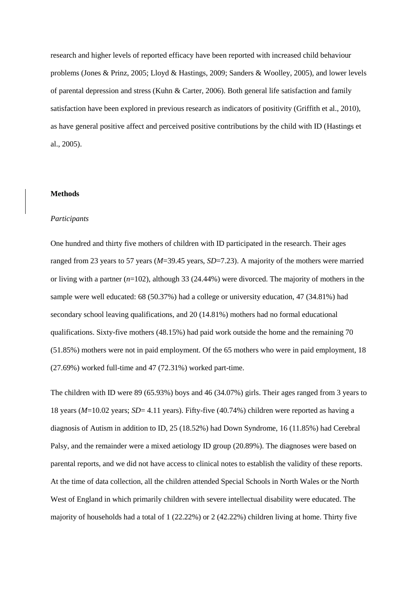research and higher levels of reported efficacy have been reported with increased child behaviour problems (Jones & Prinz, 2005; Lloyd & Hastings, 2009; Sanders & Woolley, 2005), and lower levels of parental depression and stress (Kuhn & Carter, 2006). Both general life satisfaction and family satisfaction have been explored in previous research as indicators of positivity (Griffith et al., 2010), as have general positive affect and perceived positive contributions by the child with ID (Hastings et al., 2005).

### **Methods**

### *Participants*

One hundred and thirty five mothers of children with ID participated in the research. Their ages ranged from 23 years to 57 years (*M*=39.45 years, *SD*=7.23). A majority of the mothers were married or living with a partner (*n*=102), although 33 (24.44%) were divorced. The majority of mothers in the sample were well educated: 68 (50.37%) had a college or university education, 47 (34.81%) had secondary school leaving qualifications, and 20 (14.81%) mothers had no formal educational qualifications. Sixty-five mothers (48.15%) had paid work outside the home and the remaining 70 (51.85%) mothers were not in paid employment. Of the 65 mothers who were in paid employment, 18 (27.69%) worked full-time and 47 (72.31%) worked part-time.

The children with ID were 89 (65.93%) boys and 46 (34.07%) girls. Their ages ranged from 3 years to 18 years (*M*=10.02 years; *SD*= 4.11 years). Fifty-five (40.74%) children were reported as having a diagnosis of Autism in addition to ID, 25 (18.52%) had Down Syndrome, 16 (11.85%) had Cerebral Palsy, and the remainder were a mixed aetiology ID group (20.89%). The diagnoses were based on parental reports, and we did not have access to clinical notes to establish the validity of these reports. At the time of data collection, all the children attended Special Schools in North Wales or the North West of England in which primarily children with severe intellectual disability were educated. The majority of households had a total of  $1 (22.22%)$  or  $2 (42.22%)$  children living at home. Thirty five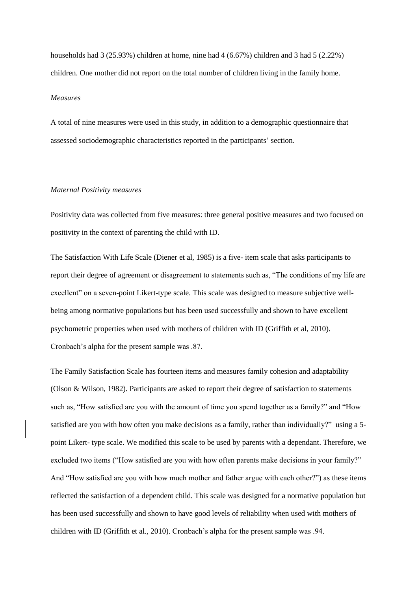households had 3 (25.93%) children at home, nine had 4 (6.67%) children and 3 had 5 (2.22%) children. One mother did not report on the total number of children living in the family home.

## *Measures*

A total of nine measures were used in this study, in addition to a demographic questionnaire that assessed sociodemographic characteristics reported in the participants' section.

## *Maternal Positivity measures*

Positivity data was collected from five measures: three general positive measures and two focused on positivity in the context of parenting the child with ID.

The Satisfaction With Life Scale (Diener et al, 1985) is a five- item scale that asks participants to report their degree of agreement or disagreement to statements such as, "The conditions of my life are excellent" on a seven-point Likert-type scale. This scale was designed to measure subjective wellbeing among normative populations but has been used successfully and shown to have excellent psychometric properties when used with mothers of children with ID (Griffith et al, 2010). Cronbach's alpha for the present sample was .87.

The Family Satisfaction Scale has fourteen items and measures family cohesion and adaptability (Olson & Wilson, 1982). Participants are asked to report their degree of satisfaction to statements such as, "How satisfied are you with the amount of time you spend together as a family?" and "How satisfied are you with how often you make decisions as a family, rather than individually?" using a 5 point Likert- type scale. We modified this scale to be used by parents with a dependant. Therefore, we excluded two items ("How satisfied are you with how often parents make decisions in your family?" And "How satisfied are you with how much mother and father argue with each other?") as these items reflected the satisfaction of a dependent child. This scale was designed for a normative population but has been used successfully and shown to have good levels of reliability when used with mothers of children with ID (Griffith et al., 2010). Cronbach's alpha for the present sample was .94.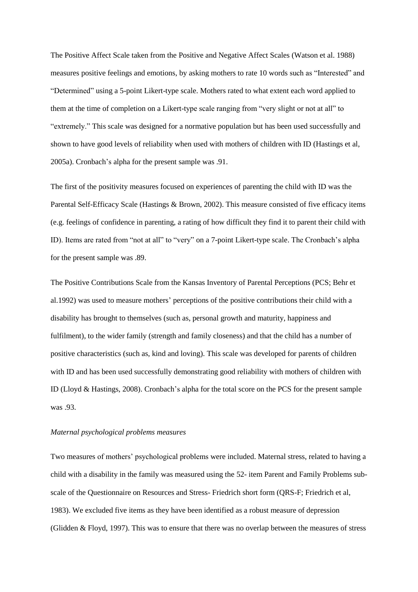The Positive Affect Scale taken from the Positive and Negative Affect Scales (Watson et al. 1988) measures positive feelings and emotions, by asking mothers to rate 10 words such as "Interested" and "Determined" using a 5-point Likert-type scale. Mothers rated to what extent each word applied to them at the time of completion on a Likert-type scale ranging from "very slight or not at all" to "extremely." This scale was designed for a normative population but has been used successfully and shown to have good levels of reliability when used with mothers of children with ID (Hastings et al, 2005a). Cronbach's alpha for the present sample was .91.

The first of the positivity measures focused on experiences of parenting the child with ID was the Parental Self-Efficacy Scale (Hastings & Brown, 2002). This measure consisted of five efficacy items (e.g. feelings of confidence in parenting, a rating of how difficult they find it to parent their child with ID). Items are rated from "not at all" to "very" on a 7-point Likert-type scale. The Cronbach's alpha for the present sample was .89.

The Positive Contributions Scale from the Kansas Inventory of Parental Perceptions (PCS; Behr et al.1992) was used to measure mothers' perceptions of the positive contributions their child with a disability has brought to themselves (such as, personal growth and maturity, happiness and fulfilment), to the wider family (strength and family closeness) and that the child has a number of positive characteristics (such as, kind and loving). This scale was developed for parents of children with ID and has been used successfully demonstrating good reliability with mothers of children with ID (Lloyd & Hastings, 2008). Cronbach's alpha for the total score on the PCS for the present sample was .93.

### *Maternal psychological problems measures*

Two measures of mothers' psychological problems were included. Maternal stress, related to having a child with a disability in the family was measured using the 52- item Parent and Family Problems subscale of the Questionnaire on Resources and Stress- Friedrich short form (QRS-F; Friedrich et al, 1983). We excluded five items as they have been identified as a robust measure of depression (Glidden & Floyd, 1997). This was to ensure that there was no overlap between the measures of stress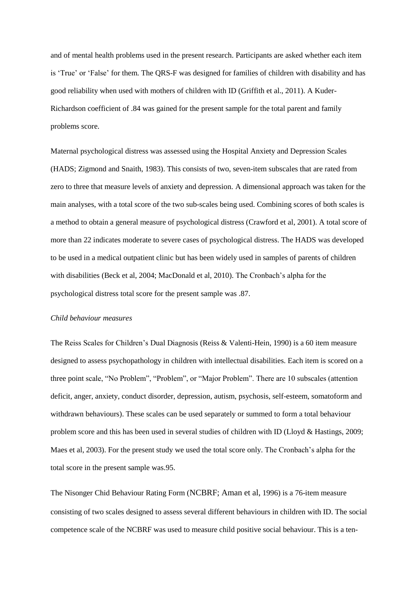and of mental health problems used in the present research. Participants are asked whether each item is 'True' or 'False' for them. The QRS-F was designed for families of children with disability and has good reliability when used with mothers of children with ID (Griffith et al., 2011). A Kuder-Richardson coefficient of .84 was gained for the present sample for the total parent and family problems score.

Maternal psychological distress was assessed using the Hospital Anxiety and Depression Scales (HADS; Zigmond and Snaith, 1983). This consists of two, seven-item subscales that are rated from zero to three that measure levels of anxiety and depression. A dimensional approach was taken for the main analyses, with a total score of the two sub-scales being used. Combining scores of both scales is a method to obtain a general measure of psychological distress (Crawford et al, 2001). A total score of more than 22 indicates moderate to severe cases of psychological distress. The HADS was developed to be used in a medical outpatient clinic but has been widely used in samples of parents of children with disabilities (Beck et al, 2004; MacDonald et al, 2010). The Cronbach's alpha for the psychological distress total score for the present sample was .87.

## *Child behaviour measures*

The Reiss Scales for Children's Dual Diagnosis (Reiss & Valenti-Hein, 1990) is a 60 item measure designed to assess psychopathology in children with intellectual disabilities. Each item is scored on a three point scale, "No Problem", "Problem", or "Major Problem". There are 10 subscales (attention deficit, anger, anxiety, conduct disorder, depression, autism, psychosis, self-esteem, somatoform and withdrawn behaviours). These scales can be used separately or summed to form a total behaviour problem score and this has been used in several studies of children with ID (Lloyd & Hastings, 2009; Maes et al, 2003). For the present study we used the total score only. The Cronbach's alpha for the total score in the present sample was.95.

The Nisonger Chid Behaviour Rating Form (NCBRF; Aman et al, 1996) is a 76-item measure consisting of two scales designed to assess several different behaviours in children with ID. The social competence scale of the NCBRF was used to measure child positive social behaviour. This is a ten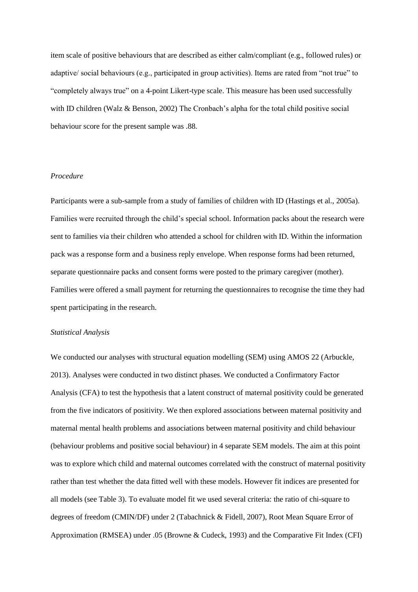item scale of positive behaviours that are described as either calm/compliant (e.g., followed rules) or adaptive/ social behaviours (e.g., participated in group activities). Items are rated from "not true" to "completely always true" on a 4-point Likert-type scale. This measure has been used successfully with ID children (Walz & Benson, 2002) The Cronbach's alpha for the total child positive social behaviour score for the present sample was .88*.*

## *Procedure*

Participants were a sub-sample from a study of families of children with ID (Hastings et al., 2005a). Families were recruited through the child's special school. Information packs about the research were sent to families via their children who attended a school for children with ID. Within the information pack was a response form and a business reply envelope. When response forms had been returned, separate questionnaire packs and consent forms were posted to the primary caregiver (mother). Families were offered a small payment for returning the questionnaires to recognise the time they had spent participating in the research.

### *Statistical Analysis*

We conducted our analyses with structural equation modelling (SEM) using AMOS 22 (Arbuckle, 2013). Analyses were conducted in two distinct phases. We conducted a Confirmatory Factor Analysis (CFA) to test the hypothesis that a latent construct of maternal positivity could be generated from the five indicators of positivity. We then explored associations between maternal positivity and maternal mental health problems and associations between maternal positivity and child behaviour (behaviour problems and positive social behaviour) in 4 separate SEM models. The aim at this point was to explore which child and maternal outcomes correlated with the construct of maternal positivity rather than test whether the data fitted well with these models. However fit indices are presented for all models (see Table 3). To evaluate model fit we used several criteria: the ratio of chi-square to degrees of freedom (CMIN/DF) under 2 (Tabachnick & Fidell, 2007), Root Mean Square Error of Approximation (RMSEA) under .05 (Browne & Cudeck, 1993) and the Comparative Fit Index (CFI)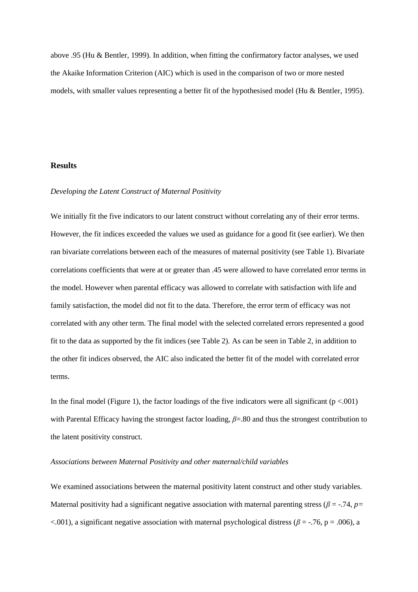above .95 (Hu & Bentler, 1999). In addition, when fitting the confirmatory factor analyses, we used the Akaike Information Criterion (AIC) which is used in the comparison of two or more nested models, with smaller values representing a better fit of the hypothesised model (Hu & Bentler, 1995).

## **Results**

### *Developing the Latent Construct of Maternal Positivity*

We initially fit the five indicators to our latent construct without correlating any of their error terms. However, the fit indices exceeded the values we used as guidance for a good fit (see earlier). We then ran bivariate correlations between each of the measures of maternal positivity (see Table 1). Bivariate correlations coefficients that were at or greater than .45 were allowed to have correlated error terms in the model. However when parental efficacy was allowed to correlate with satisfaction with life and family satisfaction, the model did not fit to the data. Therefore, the error term of efficacy was not correlated with any other term. The final model with the selected correlated errors represented a good fit to the data as supported by the fit indices (see Table 2). As can be seen in Table 2, in addition to the other fit indices observed, the AIC also indicated the better fit of the model with correlated error terms.

In the final model (Figure 1), the factor loadings of the five indicators were all significant  $(p < .001)$ with Parental Efficacy having the strongest factor loading, *β*=.80 and thus the strongest contribution to the latent positivity construct.

### *Associations between Maternal Positivity and other maternal/child variables*

We examined associations between the maternal positivity latent construct and other study variables. Maternal positivity had a significant negative association with maternal parenting stress ( $\beta = -74$ ,  $p=$  $\lt$ .001), a significant negative association with maternal psychological distress ( $\beta$  = -.76, p = .006), a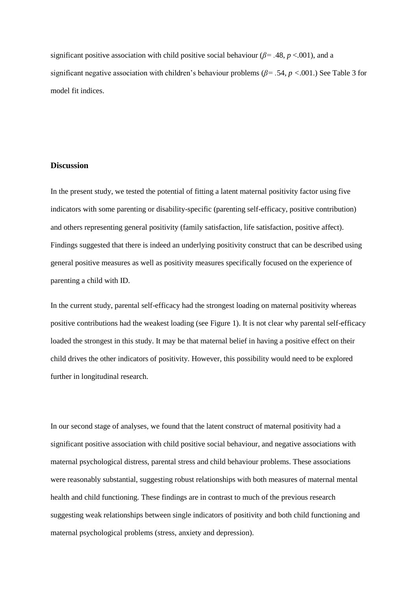significant positive association with child positive social behaviour ( $\beta$ = .48, *p* <.001), and a significant negative association with children's behaviour problems (*β= .*54, *p <*.001.) See Table 3 for model fit indices.

## **Discussion**

In the present study, we tested the potential of fitting a latent maternal positivity factor using five indicators with some parenting or disability-specific (parenting self-efficacy, positive contribution) and others representing general positivity (family satisfaction, life satisfaction, positive affect). Findings suggested that there is indeed an underlying positivity construct that can be described using general positive measures as well as positivity measures specifically focused on the experience of parenting a child with ID.

In the current study, parental self-efficacy had the strongest loading on maternal positivity whereas positive contributions had the weakest loading (see Figure 1). It is not clear why parental self-efficacy loaded the strongest in this study. It may be that maternal belief in having a positive effect on their child drives the other indicators of positivity. However, this possibility would need to be explored further in longitudinal research.

In our second stage of analyses, we found that the latent construct of maternal positivity had a significant positive association with child positive social behaviour, and negative associations with maternal psychological distress, parental stress and child behaviour problems. These associations were reasonably substantial, suggesting robust relationships with both measures of maternal mental health and child functioning. These findings are in contrast to much of the previous research suggesting weak relationships between single indicators of positivity and both child functioning and maternal psychological problems (stress, anxiety and depression).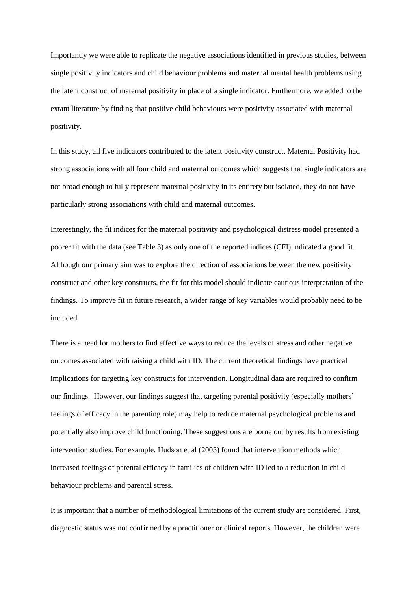Importantly we were able to replicate the negative associations identified in previous studies, between single positivity indicators and child behaviour problems and maternal mental health problems using the latent construct of maternal positivity in place of a single indicator. Furthermore, we added to the extant literature by finding that positive child behaviours were positivity associated with maternal positivity.

In this study, all five indicators contributed to the latent positivity construct. Maternal Positivity had strong associations with all four child and maternal outcomes which suggests that single indicators are not broad enough to fully represent maternal positivity in its entirety but isolated, they do not have particularly strong associations with child and maternal outcomes.

Interestingly, the fit indices for the maternal positivity and psychological distress model presented a poorer fit with the data (see Table 3) as only one of the reported indices (CFI) indicated a good fit. Although our primary aim was to explore the direction of associations between the new positivity construct and other key constructs, the fit for this model should indicate cautious interpretation of the findings. To improve fit in future research, a wider range of key variables would probably need to be included.

There is a need for mothers to find effective ways to reduce the levels of stress and other negative outcomes associated with raising a child with ID. The current theoretical findings have practical implications for targeting key constructs for intervention. Longitudinal data are required to confirm our findings. However, our findings suggest that targeting parental positivity (especially mothers' feelings of efficacy in the parenting role) may help to reduce maternal psychological problems and potentially also improve child functioning. These suggestions are borne out by results from existing intervention studies. For example, Hudson et al (2003) found that intervention methods which increased feelings of parental efficacy in families of children with ID led to a reduction in child behaviour problems and parental stress.

It is important that a number of methodological limitations of the current study are considered. First, diagnostic status was not confirmed by a practitioner or clinical reports. However, the children were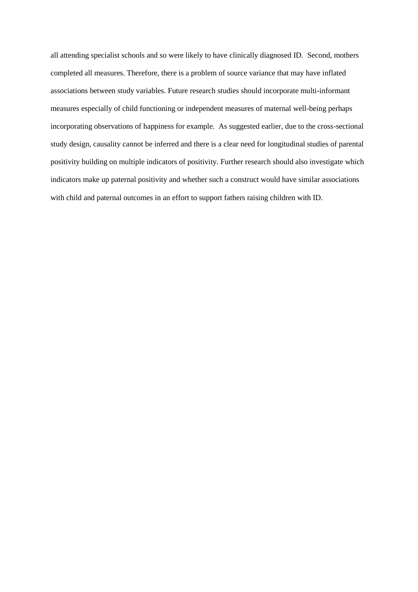all attending specialist schools and so were likely to have clinically diagnosed ID. Second, mothers completed all measures. Therefore, there is a problem of source variance that may have inflated associations between study variables. Future research studies should incorporate multi-informant measures especially of child functioning or independent measures of maternal well-being perhaps incorporating observations of happiness for example. As suggested earlier, due to the cross-sectional study design, causality cannot be inferred and there is a clear need for longitudinal studies of parental positivity building on multiple indicators of positivity. Further research should also investigate which indicators make up paternal positivity and whether such a construct would have similar associations with child and paternal outcomes in an effort to support fathers raising children with ID.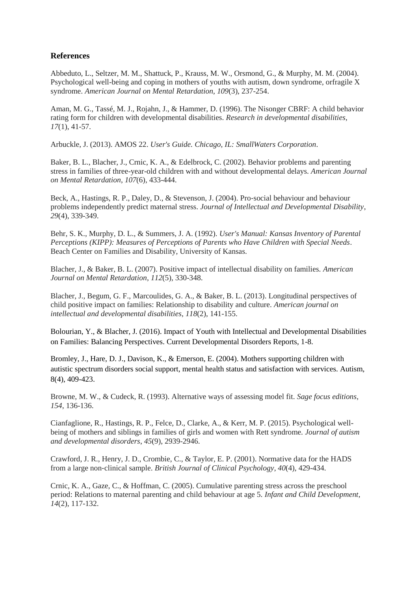# **References**

Abbeduto, L., Seltzer, M. M., Shattuck, P., Krauss, M. W., Orsmond, G., & Murphy, M. M. (2004). Psychological well-being and coping in mothers of youths with autism, down syndrome, orfragile X syndrome. *American Journal on Mental Retardation*, *109*(3), 237-254.

Aman, M. G., Tassé, M. J., Rojahn, J., & Hammer, D. (1996). The Nisonger CBRF: A child behavior rating form for children with developmental disabilities. *Research in developmental disabilities*, *17*(1), 41-57.

Arbuckle, J. (2013). AMOS 22. *User's Guide. Chicago, IL: SmallWaters Corporation*.

Baker, B. L., Blacher, J., Crnic, K. A., & Edelbrock, C. (2002). Behavior problems and parenting stress in families of three-year-old children with and without developmental delays. *American Journal on Mental Retardation*, *107*(6), 433-444.

Beck, A., Hastings, R. P., Daley, D., & Stevenson, J. (2004). Pro‐social behaviour and behaviour problems independently predict maternal stress. *Journal of Intellectual and Developmental Disability*, *29*(4), 339-349.

Behr, S. K., Murphy, D. L., & Summers, J. A. (1992). *User's Manual: Kansas Inventory of Parental Perceptions (KIPP): Measures of Perceptions of Parents who Have Children with Special Needs*. Beach Center on Families and Disability, University of Kansas.

Blacher, J., & Baker, B. L. (2007). Positive impact of intellectual disability on families. *American Journal on Mental Retardation*, *112*(5), 330-348.

Blacher, J., Begum, G. F., Marcoulides, G. A., & Baker, B. L. (2013). Longitudinal perspectives of child positive impact on families: Relationship to disability and culture. *American journal on intellectual and developmental disabilities*, *118*(2), 141-155.

Bolourian, Y., & Blacher, J. (2016). Impact of Youth with Intellectual and Developmental Disabilities on Families: Balancing Perspectives. Current Developmental Disorders Reports, 1-8.

Bromley, J., Hare, D. J., Davison, K., & Emerson, E. (2004). Mothers supporting children with autistic spectrum disorders social support, mental health status and satisfaction with services. Autism, 8(4), 409-423.

Browne, M. W., & Cudeck, R. (1993). Alternative ways of assessing model fit. *Sage focus editions*, *154*, 136-136.

Cianfaglione, R., Hastings, R. P., Felce, D., Clarke, A., & Kerr, M. P. (2015). Psychological wellbeing of mothers and siblings in families of girls and women with Rett syndrome. *Journal of autism and developmental disorders*, *45*(9), 2939-2946.

Crawford, J. R., Henry, J. D., Crombie, C., & Taylor, E. P. (2001). Normative data for the HADS from a large non‐clinical sample. *British Journal of Clinical Psychology*, *40*(4), 429-434.

Crnic, K. A., Gaze, C., & Hoffman, C. (2005). Cumulative parenting stress across the preschool period: Relations to maternal parenting and child behaviour at age 5. *Infant and Child Development*, *14*(2), 117-132.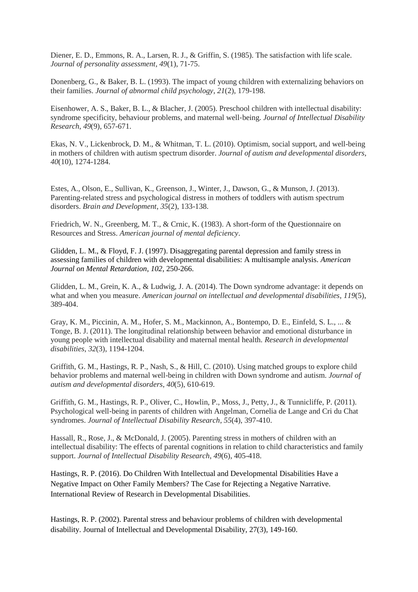Diener, E. D., Emmons, R. A., Larsen, R. J., & Griffin, S. (1985). The satisfaction with life scale. *Journal of personality assessment*, *49*(1), 71-75.

Donenberg, G., & Baker, B. L. (1993). The impact of young children with externalizing behaviors on their families. *Journal of abnormal child psychology*, *21*(2), 179-198.

Eisenhower, A. S., Baker, B. L., & Blacher, J. (2005). Preschool children with intellectual disability: syndrome specificity, behaviour problems, and maternal well‐being. *Journal of Intellectual Disability Research*, *49*(9), 657-671.

Ekas, N. V., Lickenbrock, D. M., & Whitman, T. L. (2010). Optimism, social support, and well-being in mothers of children with autism spectrum disorder. *Journal of autism and developmental disorders*, *40*(10), 1274-1284.

Estes, A., Olson, E., Sullivan, K., Greenson, J., Winter, J., Dawson, G., & Munson, J. (2013). Parenting-related stress and psychological distress in mothers of toddlers with autism spectrum disorders. *Brain and Development*, *35*(2), 133-138.

Friedrich, W. N., Greenberg, M. T., & Crnic, K. (1983). A short-form of the Questionnaire on Resources and Stress. *American journal of mental deficiency*.

Glidden, L. M., & Floyd, F. J. (1997). Disaggregating parental depression and family stress in assessing families of children with developmental disabilities: A multisample analysis. *American Journal on Mental Retardation*, *102*, 250-266.

Glidden, L. M., Grein, K. A., & Ludwig, J. A. (2014). The Down syndrome advantage: it depends on what and when you measure. *American journal on intellectual and developmental disabilities*, *119*(5), 389-404.

Gray, K. M., Piccinin, A. M., Hofer, S. M., Mackinnon, A., Bontempo, D. E., Einfeld, S. L., ... & Tonge, B. J. (2011). The longitudinal relationship between behavior and emotional disturbance in young people with intellectual disability and maternal mental health. *Research in developmental disabilities*, *32*(3), 1194-1204.

Griffith, G. M., Hastings, R. P., Nash, S., & Hill, C. (2010). Using matched groups to explore child behavior problems and maternal well-being in children with Down syndrome and autism. *Journal of autism and developmental disorders*, *40*(5), 610-619.

Griffith, G. M., Hastings, R. P., Oliver, C., Howlin, P., Moss, J., Petty, J., & Tunnicliffe, P. (2011). Psychological well‐being in parents of children with Angelman, Cornelia de Lange and Cri du Chat syndromes. *Journal of Intellectual Disability Research*, *55*(4), 397-410.

Hassall, R., Rose, J., & McDonald, J. (2005). Parenting stress in mothers of children with an intellectual disability: The effects of parental cognitions in relation to child characteristics and family support. *Journal of Intellectual Disability Research*, *49*(6), 405-418.

Hastings, R. P. (2016). Do Children With Intellectual and Developmental Disabilities Have a Negative Impact on Other Family Members? The Case for Rejecting a Negative Narrative. International Review of Research in Developmental Disabilities.

Hastings, R. P. (2002). Parental stress and behaviour problems of children with developmental disability. Journal of Intellectual and Developmental Disability, 27(3), 149-160.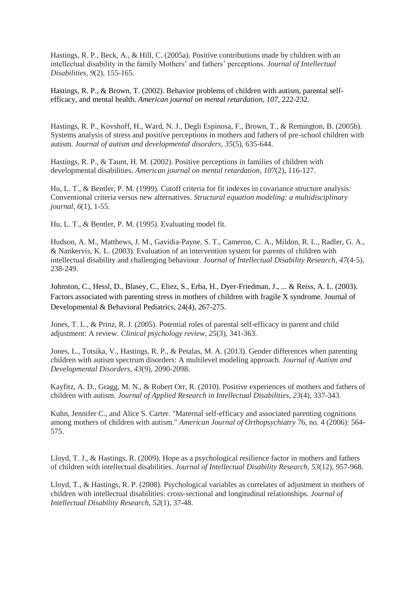Hastings, R. P., Beck, A., & Hill, C. (2005a). Positive contributions made by children with an intellectual disability in the family Mothers' and fathers' perceptions. *Journal of Intellectual Disabilities*, *9*(2), 155-165.

Hastings, R. P., & Brown, T. (2002). Behavior problems of children with autism, parental selfefficacy, and mental health. *American journal on mental retardation*, *107*, 222-232.

Hastings, R. P., Kovshoff, H., Ward, N. J., Degli Espinosa, F., Brown, T., & Remington, B. (2005b). Systems analysis of stress and positive perceptions in mothers and fathers of pre-school children with autism. *Journal of autism and developmental disorders*, *35*(5), 635-644.

Hastings, R. P., & Taunt, H. M. (2002). Positive perceptions in families of children with developmental disabilities. *American journal on mental retardation*, *107*(2), 116-127.

Hu, L. T., & Bentler, P. M. (1999). Cutoff criteria for fit indexes in covariance structure analysis: Conventional criteria versus new alternatives. *Structural equation modeling: a multidisciplinary journal*, *6*(1), 1-55.

Hu, L. T., & Bentler, P. M. (1995). Evaluating model fit.

Hudson, A. M., Matthews, J. M., Gavidia‐Payne, S. T., Cameron, C. A., Mildon, R. L., Radler, G. A., & Nankervis, K. L. (2003). Evaluation of an intervention system for parents of children with intellectual disability and challenging behaviour. *Journal of Intellectual Disability Research*, *47*(4‐5), 238-249.

Johnston, C., Hessl, D., Blasey, C., Eliez, S., Erba, H., Dyer-Friedman, J., ... & Reiss, A. L. (2003). Factors associated with parenting stress in mothers of children with fragile X syndrome. Journal of Developmental & Behavioral Pediatrics, 24(4), 267-275.

Jones, T. L., & Prinz, R. J. (2005). Potential roles of parental self-efficacy in parent and child adjustment: A review. *Clinical psychology review*, *25*(3), 341-363.

Jones, L., Totsika, V., Hastings, R. P., & Petalas, M. A. (2013). Gender differences when parenting children with autism spectrum disorders: A multilevel modeling approach. *Journal of Autism and Developmental Disorders*, *43*(9), 2090-2098.

Kayfitz, A. D., Gragg, M. N., & Robert Orr, R. (2010). Positive experiences of mothers and fathers of children with autism. *Journal of Applied Research in Intellectual Disabilities*, *23*(4), 337-343.

Kuhn, Jennifer C., and Alice S. Carter. "Maternal self-efficacy and associated parenting cognitions among mothers of children with autism." *American Journal of Orthopsychiatry* 76, no. 4 (2006): 564- 575.

Lloyd, T. J., & Hastings, R. (2009). Hope as a psychological resilience factor in mothers and fathers of children with intellectual disabilities. *Journal of Intellectual Disability Research*, *53*(12), 957-968.

Lloyd, T., & Hastings, R. P. (2008). Psychological variables as correlates of adjustment in mothers of children with intellectual disabilities: cross‐sectional and longitudinal relationships. *Journal of Intellectual Disability Research*, *52*(1), 37-48.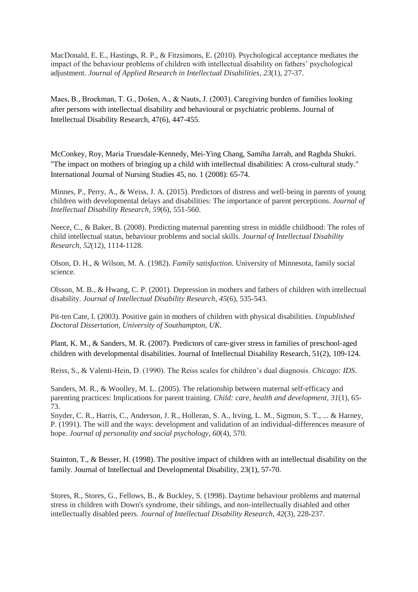MacDonald, E. E., Hastings, R. P., & Fitzsimons, E. (2010). Psychological acceptance mediates the impact of the behaviour problems of children with intellectual disability on fathers' psychological adjustment. *Journal of Applied Research in Intellectual Disabilities*, *23*(1), 27-37.

Maes, B., Broekman, T. G., Došen, A., & Nauts, J. (2003). Caregiving burden of families looking after persons with intellectual disability and behavioural or psychiatric problems. Journal of Intellectual Disability Research, 47(6), 447-455.

McConkey, Roy, Maria Truesdale-Kennedy, Mei-Ying Chang, Samiha Jarrah, and Raghda Shukri. "The impact on mothers of bringing up a child with intellectual disabilities: A cross-cultural study." International Journal of Nursing Studies 45, no. 1 (2008): 65-74.

Minnes, P., Perry, A., & Weiss, J. A. (2015). Predictors of distress and well‐being in parents of young children with developmental delays and disabilities: The importance of parent perceptions. *Journal of Intellectual Disability Research*, *59*(6), 551-560.

Neece, C., & Baker, B. (2008). Predicting maternal parenting stress in middle childhood: The roles of child intellectual status, behaviour problems and social skills. *Journal of Intellectual Disability Research*, *52*(12), 1114-1128.

Olson, D. H., & Wilson, M. A. (1982). *Family satisfaction*. University of Minnesota, family social science.

Olsson, M. B., & Hwang, C. P. (2001). Depression in mothers and fathers of children with intellectual disability. *Journal of Intellectual Disability Research*, *45*(6), 535-543.

Pit-ten Cate, I. (2003). Positive gain in mothers of children with physical disabilities. *Unpublished Doctoral Dissertation, University of Southampton, UK*.

Plant, K. M., & Sanders, M. R. (2007). Predictors of care‐giver stress in families of preschool‐aged children with developmental disabilities. Journal of Intellectual Disability Research, 51(2), 109-124.

Reiss, S., & Valenti-Hein, D. (1990). The Reiss scales for children's dual diagnosis. *Chicago: IDS*.

Sanders, M. R., & Woolley, M. L. (2005). The relationship between maternal self-efficacy and parenting practices: Implications for parent training. *Child: care, health and development*, *31*(1), 65- 73.

Snyder, C. R., Harris, C., Anderson, J. R., Holleran, S. A., Irving, L. M., Sigmon, S. T., ... & Harney, P. (1991). The will and the ways: development and validation of an individual-differences measure of hope. *Journal of personality and social psychology*, *60*(4), 570.

Stainton, T., & Besser, H. (1998). The positive impact of children with an intellectual disability on the family. Journal of Intellectual and Developmental Disability, 23(1), 57-70.

Stores, R., Stores, G., Fellows, B., & Buckley, S. (1998). Daytime behaviour problems and maternal stress in children with Down's syndrome, their siblings, and non‐intellectually disabled and other intellectually disabled peers. *Journal of Intellectual Disability Research*, *42*(3), 228-237.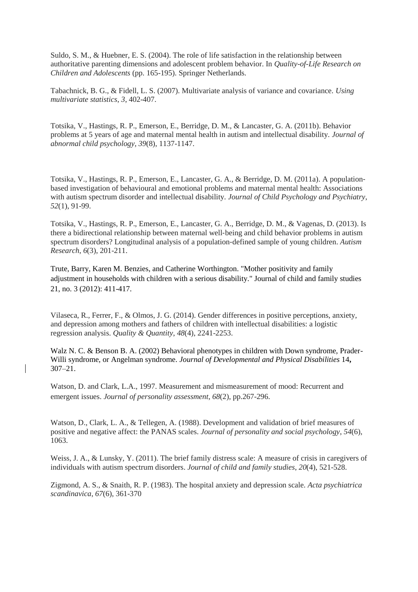Suldo, S. M., & Huebner, E. S. (2004). The role of life satisfaction in the relationship between authoritative parenting dimensions and adolescent problem behavior. In *Quality-of-Life Research on Children and Adolescents* (pp. 165-195). Springer Netherlands.

Tabachnick, B. G., & Fidell, L. S. (2007). Multivariate analysis of variance and covariance. *Using multivariate statistics*, *3*, 402-407.

Totsika, V., Hastings, R. P., Emerson, E., Berridge, D. M., & Lancaster, G. A. (2011b). Behavior problems at 5 years of age and maternal mental health in autism and intellectual disability. *Journal of abnormal child psychology*, *39*(8), 1137-1147.

Totsika, V., Hastings, R. P., Emerson, E., Lancaster, G. A., & Berridge, D. M. (2011a). A population‐ based investigation of behavioural and emotional problems and maternal mental health: Associations with autism spectrum disorder and intellectual disability. *Journal of Child Psychology and Psychiatry*, *52*(1), 91-99.

Totsika, V., Hastings, R. P., Emerson, E., Lancaster, G. A., Berridge, D. M., & Vagenas, D. (2013). Is there a bidirectional relationship between maternal well‐being and child behavior problems in autism spectrum disorders? Longitudinal analysis of a population‐defined sample of young children. *Autism Research*, *6*(3), 201-211.

Trute, Barry, Karen M. Benzies, and Catherine Worthington. "Mother positivity and family adjustment in households with children with a serious disability." Journal of child and family studies 21, no. 3 (2012): 411-417.

Vilaseca, R., Ferrer, F., & Olmos, J. G. (2014). Gender differences in positive perceptions, anxiety, and depression among mothers and fathers of children with intellectual disabilities: a logistic regression analysis. *Quality & Quantity*, *48*(4), 2241-2253.

Walz N. C. & Benson B. A. (2002) Behavioral phenotypes in children with Down syndrome, Prader-Willi syndrome, or Angelman syndrome. *Journal of Developmental and Physical Disabilities* 14**,**  307–21.

Watson, D. and Clark, L.A., 1997. Measurement and mismeasurement of mood: Recurrent and emergent issues. *Journal of personality assessment*, *68*(2), pp.267-296.

Watson, D., Clark, L. A., & Tellegen, A. (1988). Development and validation of brief measures of positive and negative affect: the PANAS scales. *Journal of personality and social psychology*, *54*(6), 1063.

Weiss, J. A., & Lunsky, Y. (2011). The brief family distress scale: A measure of crisis in caregivers of individuals with autism spectrum disorders. *Journal of child and family studies*, *20*(4), 521-528.

Zigmond, A. S., & Snaith, R. P. (1983). The hospital anxiety and depression scale. *Acta psychiatrica scandinavica*, *67*(6), 361-370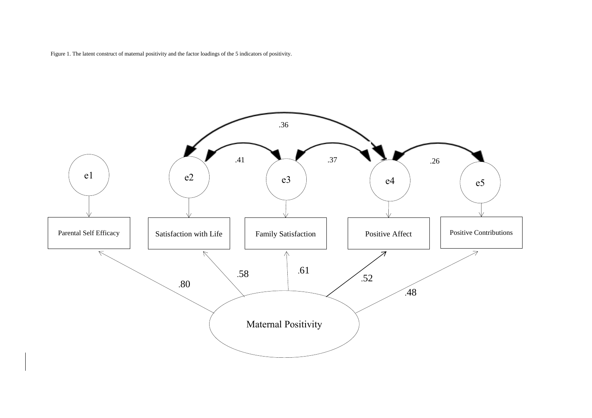Figure 1. The latent construct of maternal positivity and the factor loadings of the 5 indicators of positivity.

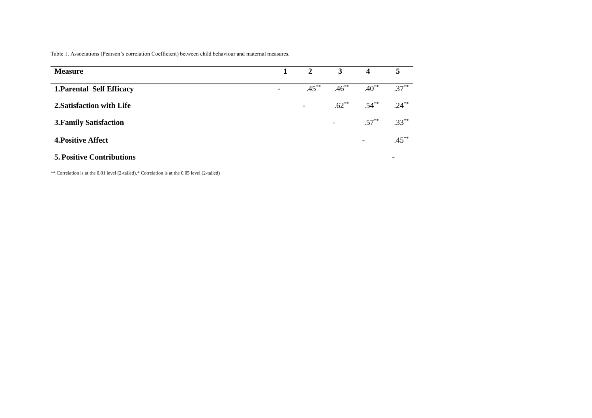### Table 1. Associations (Pearson's correlation Coefficient) between child behaviour and maternal measures.

| <b>Measure</b>                   | $\mathbf{1}$             |          | 2 $3$ 4                  |                          | 5                        |
|----------------------------------|--------------------------|----------|--------------------------|--------------------------|--------------------------|
| <b>1. Parental Self Efficacy</b> | $\overline{\phantom{0}}$ | $.45***$ | $.46^{**}$               | $.40***$                 | $.37***$                 |
| 2. Satisfaction with Life        |                          | $\sim$   | $.62***$                 | $.54***$                 | $.24***$                 |
| <b>3. Family Satisfaction</b>    |                          |          | $\overline{\phantom{a}}$ | $.57***$                 | $.33***$                 |
| <b>4. Positive Affect</b>        |                          |          |                          | $\overline{\phantom{a}}$ | $.45***$                 |
| <b>5. Positive Contributions</b> |                          |          |                          |                          | $\overline{\phantom{0}}$ |

\*\* Correlation is at the 0.01 level (2-tailed),\* Correlation is at the 0.05 level (2-tailed)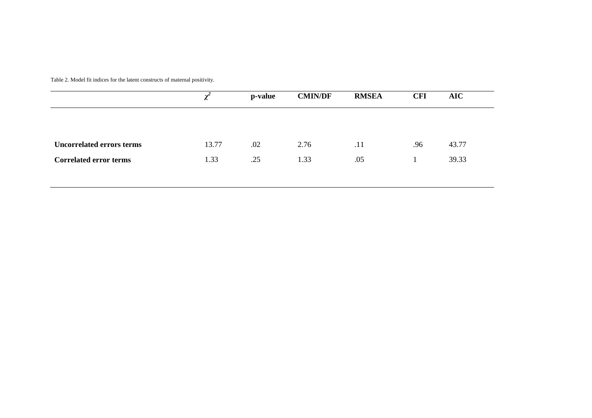Table 2. Model fit indices for the latent constructs of maternal positivity.

|                                  |       | p-value | <b>CMIN/DF</b> | <b>RMSEA</b> | <b>CFI</b> | AIC   |
|----------------------------------|-------|---------|----------------|--------------|------------|-------|
|                                  |       |         |                |              |            |       |
| <b>Uncorrelated errors terms</b> | 13.77 | .02     | 2.76           | .11          | .96        | 43.77 |
| <b>Correlated error terms</b>    | 1.33  | .25     | 1.33           | .05          |            | 39.33 |
|                                  |       |         |                |              |            |       |